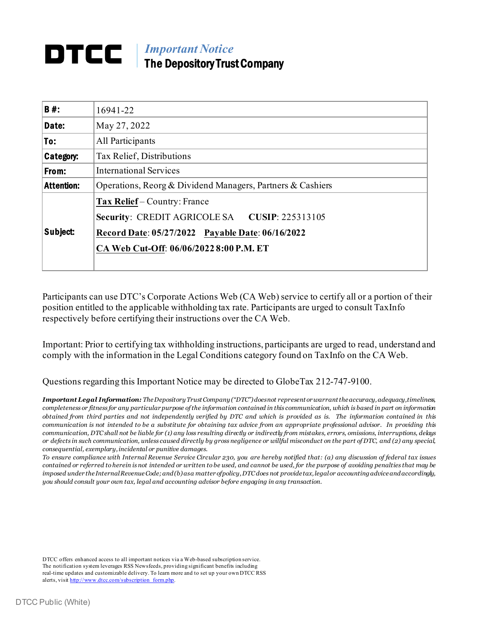# *Important Notice* The Depository Trust Company

| $B#$ :            | 16941-22                                                   |  |  |  |  |
|-------------------|------------------------------------------------------------|--|--|--|--|
| Date:             | May 27, 2022                                               |  |  |  |  |
| To:               | All Participants                                           |  |  |  |  |
| Category:         | Tax Relief, Distributions                                  |  |  |  |  |
| From:             | <b>International Services</b>                              |  |  |  |  |
| <b>Attention:</b> | Operations, Reorg & Dividend Managers, Partners & Cashiers |  |  |  |  |
|                   | Tax Relief – Country: France                               |  |  |  |  |
| Subject:          | Security: CREDIT AGRICOLE SA  CUSIP: 225313105             |  |  |  |  |
|                   | Record Date: 05/27/2022 Payable Date: 06/16/2022           |  |  |  |  |
|                   | CA Web Cut-Off: 06/06/2022 8:00 P.M. ET                    |  |  |  |  |
|                   |                                                            |  |  |  |  |
|                   |                                                            |  |  |  |  |

Participants can use DTC's Corporate Actions Web (CA Web) service to certify all or a portion of their position entitled to the applicable withholding tax rate. Participants are urged to consult TaxInfo respectively before certifying their instructions over the CA Web.

Important: Prior to certifying tax withholding instructions, participants are urged to read, understand and comply with the information in the Legal Conditions category found on TaxInfo on the CA Web.

Questions regarding this Important Notice may be directed to GlobeTax 212-747-9100.

*Important Legal Information: The Depository Trust Company ("DTC") does not represent or warrant the accuracy, adequacy, timeliness, completeness or fitness for any particular purpose of the information contained in this communication, which is based in part on information obtained from third parties and not independently verified by DTC and which is provided as is. The information contained in this communication is not intended to be a substitute for obtaining tax advice from an appropriate professional advisor. In providing this communication, DTC shall not be liable for (1) any loss resulting directly or indirectly from mistakes, errors, omissions, interruptions, delays or defects in such communication, unless caused directly by gross negligence or willful misconduct on the part of DTC, and (2) any special, consequential, exemplary, incidental or punitive damages.*

*To ensure compliance with Internal Revenue Service Circular 230, you are hereby notified that: (a) any discussion of federal tax issues contained or referred to herein is not intended or written to be used, and cannot be used, for the purpose of avoiding penalties that may be imposed under the Internal Revenue Code; and (b) as a matter of policy, DTC does not provide tax, legal or accounting advice and accordingly, you should consult your own tax, legal and accounting advisor before engaging in any transaction.*

DTCC offers enhanced access to all important notices via a Web-based subscription service. The notification system leverages RSS Newsfeeds, providing significant benefits including real-time updates and customizable delivery. To learn more and to set up your own DTCC RSS alerts, visi[t http://www.dtcc.com/subscription\\_form.php.](http://www.dtcc.com/subscription_form.php)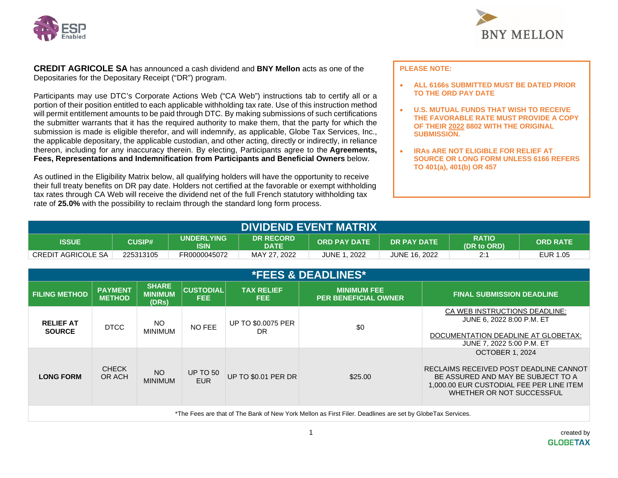



**CREDIT AGRICOLE SA** has announced a cash dividend and **BNY Mellon** acts as one of the Depositaries for the Depositary Receipt ("DR") program.

Participants may use DTC's Corporate Actions Web ("CA Web") instructions tab to certify all or a portion of their position entitled to each applicable withholding tax rate. Use of this instruction method will permit entitlement amounts to be paid through DTC. By making submissions of such certifications the submitter warrants that it has the required authority to make them, that the party for which the submission is made is eligible therefor, and will indemnify, as applicable, Globe Tax Services, Inc., the applicable depositary, the applicable custodian, and other acting, directly or indirectly, in reliance thereon, including for any inaccuracy therein. By electing, Participants agree to the **Agreements, Fees, Representations and Indemnification from Participants and Beneficial Owners** below.

As outlined in the Eligibility Matrix below, all qualifying holders will have the opportunity to receive their full treaty benefits on DR pay date. Holders not certified at the favorable or exempt withholding tax rates through CA Web will receive the dividend net of the full French statutory withholding tax rate of **25.0%** with the possibility to reclaim through the standard long form process.

## **PLEASE NOTE:**

- **ALL 6166s SUBMITTED MUST BE DATED PRIOR TO THE ORD PAY DATE**
- **U.S. MUTUAL FUNDS THAT WISH TO RECEIVE THE FAVORABLE RATE MUST PROVIDE A COPY OF THEIR 2022 8802 WITH THE ORIGINAL SUBMISSION.**
- **IRAs ARE NOT ELIGIBLE FOR RELIEF AT SOURCE OR LONG FORM UNLESS 6166 REFERS TO 401(a), 401(b) OR 457**

| <b>DIVIDEND EVENT MATRIX</b>                                                                                                                                                                 |           |              |              |                  |                      |     |          |
|----------------------------------------------------------------------------------------------------------------------------------------------------------------------------------------------|-----------|--------------|--------------|------------------|----------------------|-----|----------|
| <b>RATIO</b><br><b>DR RECORD</b><br><b>UNDERLYING</b><br><b>ISSUE</b><br><b>CUSIP#</b><br><b>ORD PAY DATE</b><br>DR PAY DATE<br><b>ORD RATE</b><br><b>ISIN</b><br>(DR to ORD)<br><b>DATE</b> |           |              |              |                  |                      |     |          |
| CREDIT AGRICOLE SA                                                                                                                                                                           | 225313105 | FR0000045072 | MAY 27, 2022 | . 2022<br>JUNE 1 | <b>JUNE 16, 2022</b> | 2:1 | EUR 1.05 |

| <b>*FEES &amp; DEADLINES*</b>                                                                             |                                 |                                         |                               |                                 |                                                   |                                                                                                                                                                                 |
|-----------------------------------------------------------------------------------------------------------|---------------------------------|-----------------------------------------|-------------------------------|---------------------------------|---------------------------------------------------|---------------------------------------------------------------------------------------------------------------------------------------------------------------------------------|
| <b>FILING METHOD</b>                                                                                      | <b>PAYMENT</b><br><b>METHOD</b> | <b>SHARE</b><br><b>MINIMUM</b><br>(DRs) | <b>CUSTODIAL</b><br>FEE.      | <b>TAX RELIEF</b><br>FEE.       | <b>MINIMUM FEE</b><br><b>PER BENEFICIAL OWNER</b> | <b>FINAL SUBMISSION DEADLINE</b>                                                                                                                                                |
| <b>RELIEF AT</b><br><b>SOURCE</b>                                                                         | <b>DTCC</b>                     | NO.<br><b>MINIMUM</b>                   | NO FEE                        | <b>UP TO \$0.0075 PER</b><br>DR | \$0                                               | CA WEB INSTRUCTIONS DEADLINE:<br>JUNE 6, 2022 8:00 P.M. ET<br>DOCUMENTATION DEADLINE AT GLOBETAX:<br>JUNE 7, 2022 5:00 P.M. ET                                                  |
| <b>LONG FORM</b>                                                                                          | <b>CHECK</b><br>OR ACH          | NO<br><b>MINIMUM</b>                    | <b>UP TO 50</b><br><b>EUR</b> | <b>UP TO \$0.01 PER DR</b>      | \$25.00                                           | <b>OCTOBER 1, 2024</b><br>RECLAIMS RECEIVED POST DEADLINE CANNOT<br>BE ASSURED AND MAY BE SUBJECT TO A<br>1,000.00 EUR CUSTODIAL FEE PER LINE ITEM<br>WHETHER OR NOT SUCCESSFUL |
| *The Fees are that of The Bank of New York Mellon as First Filer. Deadlines are set by GlobeTax Services. |                                 |                                         |                               |                                 |                                                   |                                                                                                                                                                                 |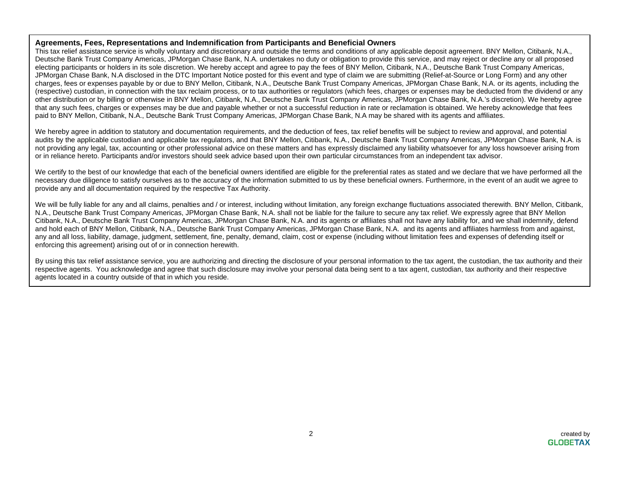### **Agreements, Fees, Representations and Indemnification from Participants and Beneficial Owners**

This tax relief assistance service is wholly voluntary and discretionary and outside the terms and conditions of any applicable deposit agreement. BNY Mellon, Citibank, N.A., Deutsche Bank Trust Company Americas, JPMorgan Chase Bank, N.A. undertakes no duty or obligation to provide this service, and may reject or decline any or all proposed electing participants or holders in its sole discretion. We hereby accept and agree to pay the fees of BNY Mellon, Citibank, N.A., Deutsche Bank Trust Company Americas, JPMorgan Chase Bank, N.A disclosed in the DTC Important Notice posted for this event and type of claim we are submitting (Relief-at-Source or Long Form) and any other charges, fees or expenses payable by or due to BNY Mellon, Citibank, N.A., Deutsche Bank Trust Company Americas, JPMorgan Chase Bank, N.A. or its agents, including the (respective) custodian, in connection with the tax reclaim process, or to tax authorities or regulators (which fees, charges or expenses may be deducted from the dividend or any other distribution or by billing or otherwise in BNY Mellon, Citibank, N.A., Deutsche Bank Trust Company Americas, JPMorgan Chase Bank, N.A.'s discretion). We hereby agree that any such fees, charges or expenses may be due and payable whether or not a successful reduction in rate or reclamation is obtained. We hereby acknowledge that fees paid to BNY Mellon, Citibank, N.A., Deutsche Bank Trust Company Americas, JPMorgan Chase Bank, N.A may be shared with its agents and affiliates.

We hereby agree in addition to statutory and documentation requirements, and the deduction of fees, tax relief benefits will be subject to review and approval, and potential audits by the applicable custodian and applicable tax regulators, and that BNY Mellon, Citibank, N.A., Deutsche Bank Trust Company Americas, JPMorgan Chase Bank, N.A. is not providing any legal, tax, accounting or other professional advice on these matters and has expressly disclaimed any liability whatsoever for any loss howsoever arising from or in reliance hereto. Participants and/or investors should seek advice based upon their own particular circumstances from an independent tax advisor.

We certify to the best of our knowledge that each of the beneficial owners identified are eligible for the preferential rates as stated and we declare that we have performed all the necessary due diligence to satisfy ourselves as to the accuracy of the information submitted to us by these beneficial owners. Furthermore, in the event of an audit we agree to provide any and all documentation required by the respective Tax Authority.

We will be fully liable for any and all claims, penalties and / or interest, including without limitation, any foreign exchange fluctuations associated therewith. BNY Mellon, Citibank, N.A., Deutsche Bank Trust Company Americas, JPMorgan Chase Bank, N.A. shall not be liable for the failure to secure any tax relief. We expressly agree that BNY Mellon Citibank, N.A., Deutsche Bank Trust Company Americas, JPMorgan Chase Bank, N.A. and its agents or affiliates shall not have any liability for, and we shall indemnify, defend and hold each of BNY Mellon, Citibank, N.A., Deutsche Bank Trust Company Americas, JPMorgan Chase Bank, N.A. and its agents and affiliates harmless from and against, any and all loss, liability, damage, judgment, settlement, fine, penalty, demand, claim, cost or expense (including without limitation fees and expenses of defending itself or enforcing this agreement) arising out of or in connection herewith.

By using this tax relief assistance service, you are authorizing and directing the disclosure of your personal information to the tax agent, the custodian, the tax authority and their respective agents. You acknowledge and agree that such disclosure may involve your personal data being sent to a tax agent, custodian, tax authority and their respective agents located in a country outside of that in which you reside.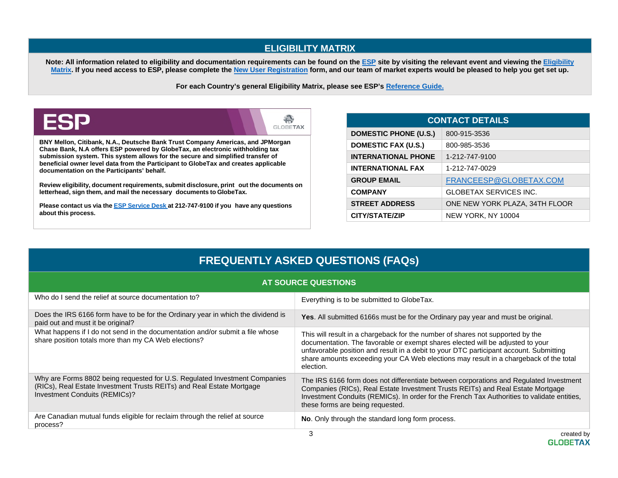## **ELIGIBILITY MATRIX**

Note: All information related to eligibility and documentation requirements can be found on the **ESP** site by visiting the relevant event and viewing the *Eligibility* **Matrix. If you need access to ESP, please complete the New User Registration form, and our team of market experts would be pleased to help you get set up.** 

**For each Country's general Eligibility Matrix, please see ESP's Reference Guide.**

# ESP



**BNY Mellon, Citibank, N.A., Deutsche Bank Trust Company Americas, and JPMorgan Chase Bank, N.A offers ESP powered by GlobeTax, an electronic withholding tax submission system. This system allows for the secure and simplified transfer of beneficial owner level data from the Participant to GlobeTax and creates applicable documentation on the Participants' behalf.** 

**Review eligibility, document requirements, submit disclosure, print out the documents on letterhead, sign them, and mail the necessary documents to GlobeTax.**

**Please contact us via the ESP Service Desk at 212-747-9100 if you have any questions about this process.**

| <b>CONTACT DETAILS</b>       |                                |  |  |  |  |
|------------------------------|--------------------------------|--|--|--|--|
| <b>DOMESTIC PHONE (U.S.)</b> | 800-915-3536                   |  |  |  |  |
| DOMESTIC FAX (U.S.)          | 800-985-3536                   |  |  |  |  |
| <b>INTERNATIONAL PHONE</b>   | 1-212-747-9100                 |  |  |  |  |
| <b>INTERNATIONAL FAX</b>     | 1-212-747-0029                 |  |  |  |  |
| <b>GROUP EMAIL</b>           | FRANCEESP@GLOBETAX.COM         |  |  |  |  |
| <b>COMPANY</b>               | <b>GLOBETAX SERVICES INC.</b>  |  |  |  |  |
| <b>STREET ADDRESS</b>        | ONE NEW YORK PLAZA, 34TH FLOOR |  |  |  |  |
| <b>CITY/STATE/ZIP</b>        | <b>NEW YORK, NY 10004</b>      |  |  |  |  |

# **FREQUENTLY ASKED QUESTIONS (FAQs)**

|  |  | <b>AT SOURCE QUESTIONS</b> |  |
|--|--|----------------------------|--|
|  |  |                            |  |
|  |  |                            |  |

| Who do I send the relief at source documentation to?                                                                                                                                 | Everything is to be submitted to GlobeTax.                                                                                                                                                                                                                                                                                                                       |
|--------------------------------------------------------------------------------------------------------------------------------------------------------------------------------------|------------------------------------------------------------------------------------------------------------------------------------------------------------------------------------------------------------------------------------------------------------------------------------------------------------------------------------------------------------------|
| Does the IRS 6166 form have to be for the Ordinary year in which the dividend is<br>paid out and must it be original?                                                                | <b>Yes.</b> All submitted 6166s must be for the Ordinary pay year and must be original.                                                                                                                                                                                                                                                                          |
| What happens if I do not send in the documentation and/or submit a file whose<br>share position totals more than my CA Web elections?                                                | This will result in a chargeback for the number of shares not supported by the<br>documentation. The favorable or exempt shares elected will be adjusted to your<br>unfavorable position and result in a debit to your DTC participant account. Submitting<br>share amounts exceeding your CA Web elections may result in a chargeback of the total<br>election. |
| Why are Forms 8802 being requested for U.S. Regulated Investment Companies<br>(RICs), Real Estate Investment Trusts REITs) and Real Estate Mortgage<br>Investment Conduits (REMICs)? | The IRS 6166 form does not differentiate between corporations and Regulated Investment<br>Companies (RICs), Real Estate Investment Trusts REITs) and Real Estate Mortgage<br>Investment Conduits (REMICs). In order for the French Tax Authorities to validate entities,<br>these forms are being requested.                                                     |
| Are Canadian mutual funds eligible for reclaim through the relief at source<br>process?                                                                                              | No. Only through the standard long form process.                                                                                                                                                                                                                                                                                                                 |
|                                                                                                                                                                                      | 3<br>created by                                                                                                                                                                                                                                                                                                                                                  |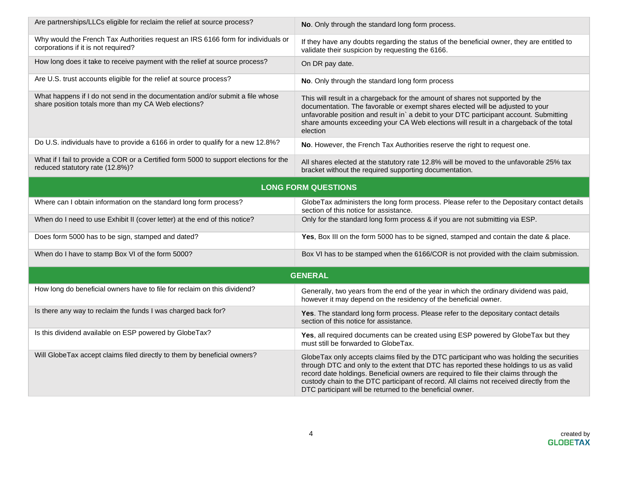| Are partnerships/LLCs eligible for reclaim the relief at source process?                                                              | No. Only through the standard long form process.                                                                                                                                                                                                                                                                                                                                                                                      |  |  |  |  |
|---------------------------------------------------------------------------------------------------------------------------------------|---------------------------------------------------------------------------------------------------------------------------------------------------------------------------------------------------------------------------------------------------------------------------------------------------------------------------------------------------------------------------------------------------------------------------------------|--|--|--|--|
| Why would the French Tax Authorities request an IRS 6166 form for individuals or<br>corporations if it is not required?               | If they have any doubts regarding the status of the beneficial owner, they are entitled to<br>validate their suspicion by requesting the 6166.                                                                                                                                                                                                                                                                                        |  |  |  |  |
| How long does it take to receive payment with the relief at source process?                                                           | On DR pay date.                                                                                                                                                                                                                                                                                                                                                                                                                       |  |  |  |  |
| Are U.S. trust accounts eligible for the relief at source process?                                                                    | No. Only through the standard long form process                                                                                                                                                                                                                                                                                                                                                                                       |  |  |  |  |
| What happens if I do not send in the documentation and/or submit a file whose<br>share position totals more than my CA Web elections? | This will result in a chargeback for the amount of shares not supported by the<br>documentation. The favorable or exempt shares elected will be adjusted to your<br>unfavorable position and result in` a debit to your DTC participant account. Submitting<br>share amounts exceeding your CA Web elections will result in a chargeback of the total<br>election                                                                     |  |  |  |  |
| Do U.S. individuals have to provide a 6166 in order to qualify for a new 12.8%?                                                       | No. However, the French Tax Authorities reserve the right to request one.                                                                                                                                                                                                                                                                                                                                                             |  |  |  |  |
| What if I fail to provide a COR or a Certified form 5000 to support elections for the<br>reduced statutory rate (12.8%)?              | All shares elected at the statutory rate 12.8% will be moved to the unfavorable 25% tax<br>bracket without the required supporting documentation.                                                                                                                                                                                                                                                                                     |  |  |  |  |
| <b>LONG FORM QUESTIONS</b>                                                                                                            |                                                                                                                                                                                                                                                                                                                                                                                                                                       |  |  |  |  |
| Where can I obtain information on the standard long form process?                                                                     | GlobeTax administers the long form process. Please refer to the Depositary contact details<br>section of this notice for assistance.                                                                                                                                                                                                                                                                                                  |  |  |  |  |
| When do I need to use Exhibit II (cover letter) at the end of this notice?                                                            | Only for the standard long form process & if you are not submitting via ESP.                                                                                                                                                                                                                                                                                                                                                          |  |  |  |  |
| Does form 5000 has to be sign, stamped and dated?                                                                                     | Yes, Box III on the form 5000 has to be signed, stamped and contain the date & place.                                                                                                                                                                                                                                                                                                                                                 |  |  |  |  |
| When do I have to stamp Box VI of the form 5000?                                                                                      | Box VI has to be stamped when the 6166/COR is not provided with the claim submission.                                                                                                                                                                                                                                                                                                                                                 |  |  |  |  |
| <b>GENERAL</b>                                                                                                                        |                                                                                                                                                                                                                                                                                                                                                                                                                                       |  |  |  |  |
| How long do beneficial owners have to file for reclaim on this dividend?                                                              | Generally, two years from the end of the year in which the ordinary dividend was paid,<br>however it may depend on the residency of the beneficial owner.                                                                                                                                                                                                                                                                             |  |  |  |  |
| Is there any way to reclaim the funds I was charged back for?                                                                         | Yes. The standard long form process. Please refer to the depositary contact details<br>section of this notice for assistance.                                                                                                                                                                                                                                                                                                         |  |  |  |  |
| Is this dividend available on ESP powered by GlobeTax?                                                                                | Yes, all required documents can be created using ESP powered by GlobeTax but they<br>must still be forwarded to GlobeTax.                                                                                                                                                                                                                                                                                                             |  |  |  |  |
| Will GlobeTax accept claims filed directly to them by beneficial owners?                                                              | GlobeTax only accepts claims filed by the DTC participant who was holding the securities<br>through DTC and only to the extent that DTC has reported these holdings to us as valid<br>record date holdings. Beneficial owners are required to file their claims through the<br>custody chain to the DTC participant of record. All claims not received directly from the<br>DTC participant will be returned to the beneficial owner. |  |  |  |  |